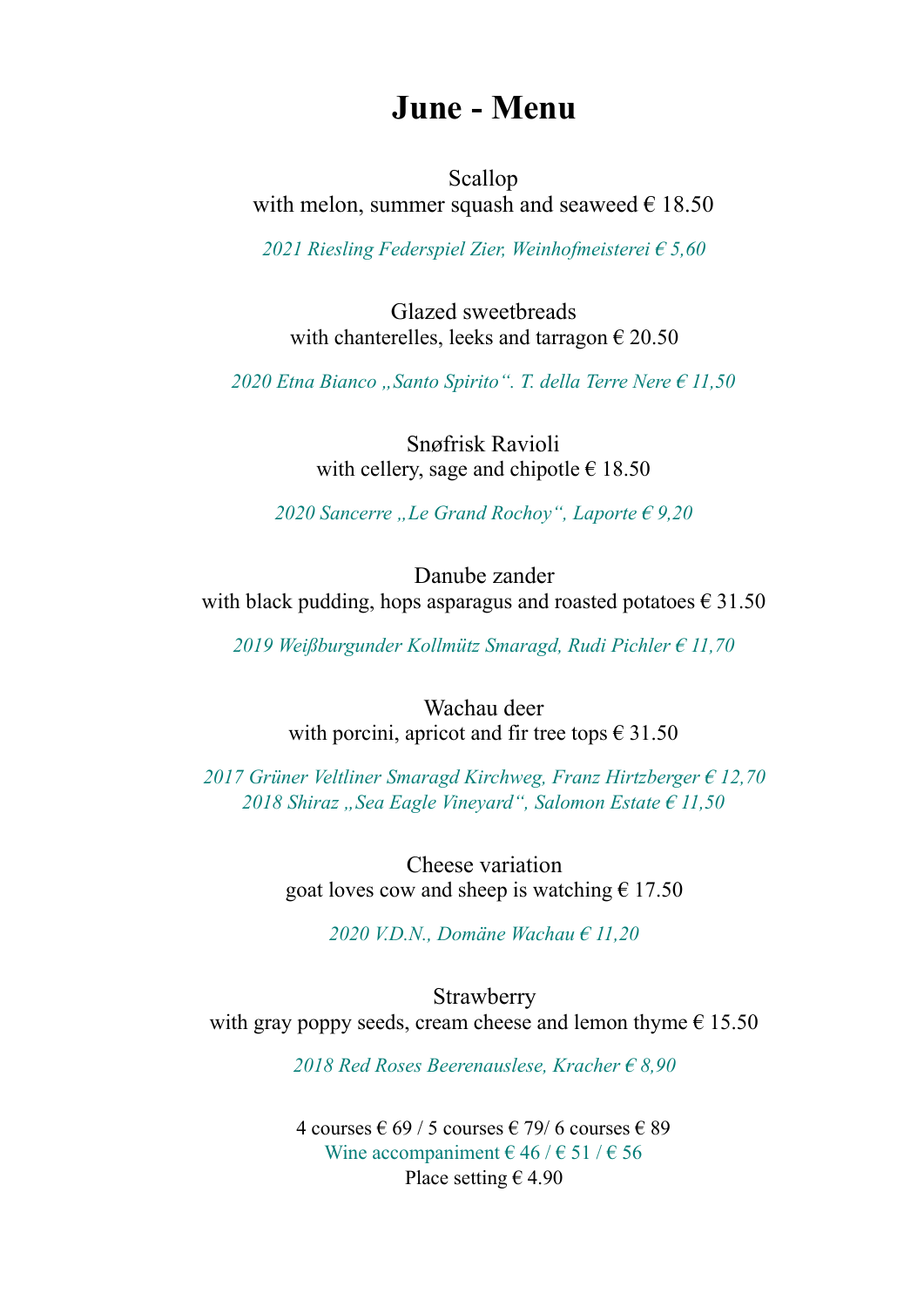## **June - Menu**

Scallop with melon, summer squash and seaweed  $\epsilon$  18.50

*2021 Riesling Federspiel Zier, Weinhofmeisterei € 5,60* 

Glazed sweetbreads with chanterelles, leeks and tarragon  $\epsilon$  20.50

 $2020$  Etna Bianco "Santo Spirito". T. della Terre Nere  $\epsilon$  11,50

Snøfrisk Ravioli with cellery, sage and chipotle  $\in$  18.50

*2020 Sancerre "Le Grand Rochoy", Laporte € 9,20*

Danube zander with black pudding, hops asparagus and roasted potatoes  $\epsilon$  31.50

*2019 Weißburgunder Kollmütz Smaragd, Rudi Pichler € 11,70* 

Wachau deer with porcini, apricot and fir tree tops  $\in$  31.50

*2017 Grüner Veltliner Smaragd Kirchweg, Franz Hirtzberger € 12,70*  2018 Shiraz "Sea Eagle Vineyard", Salomon Estate € 11,50

> Cheese variation goat loves cow and sheep is watching  $\epsilon$  17.50

> > *2020 V.D.N., Domäne Wachau € 11,20*

**Strawberry** with gray poppy seeds, cream cheese and lemon thyme  $\epsilon$  15.50

*2018 Red Roses Beerenauslese, Kracher € 8,90* 

4 courses € 69 / 5 courses € 79/6 courses € 89 Wine accompaniment  $\in$  46 /  $\in$  51 /  $\in$  56 Place setting  $\epsilon$  4.90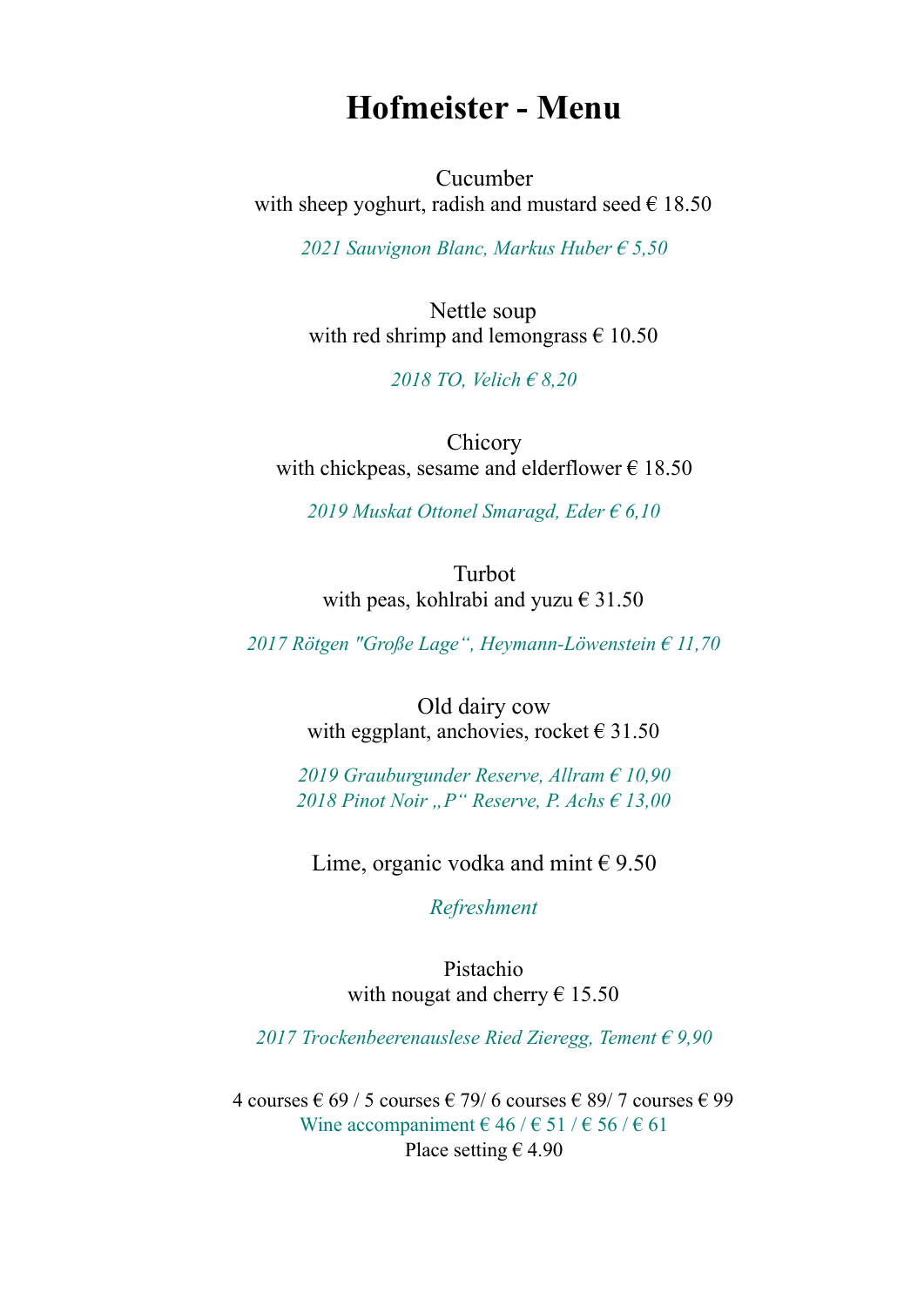## **Hofmeister - Menu**

Cucumber with sheep yoghurt, radish and mustard seed  $\epsilon$  18.50

*2021 Sauvignon Blanc, Markus Huber € 5,50* 

Nettle soup with red shrimp and lemongrass  $\epsilon$  10.50

*2018 TO, Velich € 8,20* 

Chicory with chickpeas, sesame and elderflower  $\epsilon$  18.50

*2019 Muskat Ottonel Smaragd, Eder € 6,10* 

Turbot with peas, kohlrabi and yuzu  $\epsilon$  31.50

*2017 Rötgen "Große Lage", Heymann-Löwenstein € 11,70* 

Old dairy cow with eggplant, anchovies, rocket  $\in$  31.50

*2019 Grauburgunder Reserve, Allram € 10,90 2018 Pinot Noir "P" Reserve, P. Achs € 13,00* 

Lime, organic vodka and mint  $\epsilon$  9.50

*Refreshment* 

Pistachio with nougat and cherry  $\epsilon$  15.50

*2017 Trockenbeerenauslese Ried Zieregg, Tement € 9,90* 

4 courses € 69 / 5 courses € 79/6 courses € 89/7 courses € 99 Wine accompaniment  $\in$  46 /  $\in$  51 /  $\in$  56 /  $\in$  61 Place setting  $\epsilon$  4.90